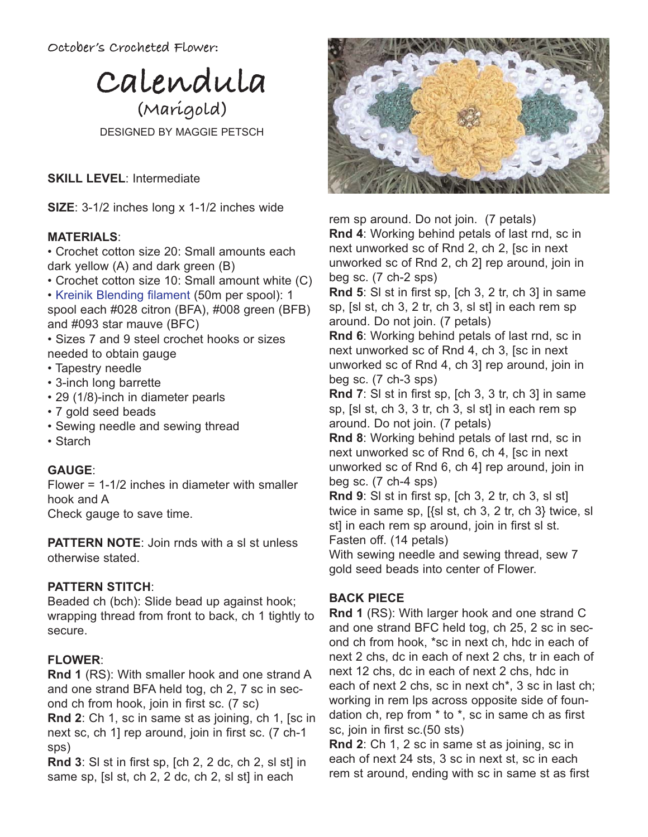**October's Crocheted Flower:** 



DESIGNED BY MAGGIE PETSCH

**SKILL LEVEL**: Intermediate

**SIZE**: 3-1/2 inches long x 1-1/2 inches wide

### **MATERIALS**:

• Crochet cotton size 20: Small amounts each dark yellow (A) and dark green (B)

• Crochet cotton size 10: Small amount white (C)

• Kreinik Blending filament (50m per spool): 1 spool each #028 citron (BFA), #008 green (BFB) and #093 star mauve (BFC)

• Sizes 7 and 9 steel crochet hooks or sizes needed to obtain gauge

- Tapestry needle
- 3-inch long barrette
- 29 (1/8)-inch in diameter pearls
- 7 gold seed beads
- Sewing needle and sewing thread
- Starch

# **GAUGE**:

Flower = 1-1/2 inches in diameter with smaller hook and A

Check gauge to save time.

**PATTERN NOTE: Join rnds with a sl st unless** otherwise stated.

# **PATTERN STITCH**:

Beaded ch (bch): Slide bead up against hook; wrapping thread from front to back, ch 1 tightly to secure.

# **FLOWER**:

**Rnd 1** (RS): With smaller hook and one strand A and one strand BFA held tog, ch 2, 7 sc in second ch from hook, join in first sc. (7 sc)

**Rnd 2**: Ch 1, sc in same st as joining, ch 1, [sc in next sc, ch 1] rep around, join in first sc. (7 ch-1 sps)

**Rnd 3**: Sl st in first sp, [ch 2, 2 dc, ch 2, sl st] in same sp, [sl st, ch 2, 2 dc, ch 2, sl st] in each



rem sp around. Do not join. (7 petals) **Rnd 4**: Working behind petals of last rnd, sc in next unworked sc of Rnd 2, ch 2, [sc in next unworked sc of Rnd 2, ch 2] rep around, join in beg sc. (7 ch-2 sps)

**Rnd 5**: Sl st in first sp, [ch 3, 2 tr, ch 3] in same sp, [sl st, ch 3, 2 tr, ch 3, sl st] in each rem sp around. Do not join. (7 petals)

**Rnd 6**: Working behind petals of last rnd, sc in next unworked sc of Rnd 4, ch 3, [sc in next unworked sc of Rnd 4, ch 3] rep around, join in beg sc. (7 ch-3 sps)

**Rnd 7**: Sl st in first sp, [ch 3, 3 tr, ch 3] in same sp, [sl st, ch 3, 3 tr, ch 3, sl st] in each rem sp around. Do not join. (7 petals)

**Rnd 8**: Working behind petals of last rnd, sc in next unworked sc of Rnd 6, ch 4, [sc in next unworked sc of Rnd 6, ch 4] rep around, join in beg sc. (7 ch-4 sps)

**Rnd 9**: Sl st in first sp, [ch 3, 2 tr, ch 3, sl st] twice in same sp, [{sl st, ch 3, 2 tr, ch 3} twice, sl st] in each rem sp around, join in first sl st. Fasten off. (14 petals)

With sewing needle and sewing thread, sew 7 gold seed beads into center of Flower.

# **BACK PIECE**

**Rnd 1** (RS): With larger hook and one strand C and one strand BFC held tog, ch 25, 2 sc in second ch from hook, \*sc in next ch, hdc in each of next 2 chs, dc in each of next 2 chs, tr in each of next 12 chs, dc in each of next 2 chs, hdc in each of next 2 chs, sc in next ch\*, 3 sc in last ch; working in rem lps across opposite side of foundation ch, rep from \* to \*, sc in same ch as first sc, join in first sc.(50 sts)

**Rnd 2**: Ch 1, 2 sc in same st as joining, sc in each of next 24 sts, 3 sc in next st, sc in each rem st around, ending with sc in same st as first